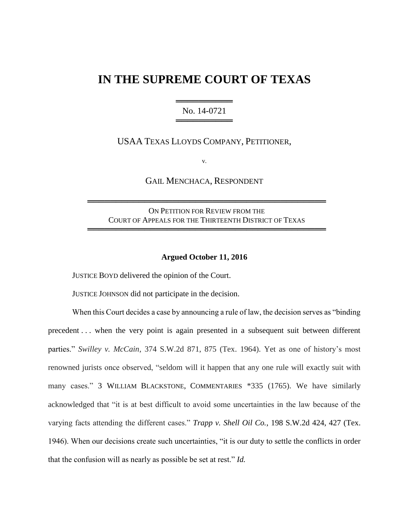# **IN THE SUPREME COURT OF TEXAS**

════════════════════ No. 14-0721 ═══════════════════

USAA TEXAS LLOYDS COMPANY, PETITIONER,

v.

GAIL MENCHACA, RESPONDENT

ON PETITION FOR REVIEW FROM THE COURT OF APPEALS FOR THE THIRTEENTH DISTRICT OF TEXAS ══════════════════════════════════════════

══════════════════════════════════════════

#### **Argued October 11, 2016**

JUSTICE BOYD delivered the opinion of the Court.

JUSTICE JOHNSON did not participate in the decision.

When this Court decides a case by announcing a rule of law, the decision serves as "binding precedent . . . when the very point is again presented in a subsequent suit between different parties." *Swilley v. McCain*, 374 S.W.2d 871, 875 (Tex. 1964). Yet as one of history's most renowned jurists once observed, "seldom will it happen that any one rule will exactly suit with many cases." 3 WILLIAM BLACKSTONE, COMMENTARIES \*335 (1765). We have similarly acknowledged that "it is at best difficult to avoid some uncertainties in the law because of the varying facts attending the different cases." *Trapp v. Shell Oil Co.*, 198 S.W.2d 424, 427 (Tex. 1946). When our decisions create such uncertainties, "it is our duty to settle the conflicts in order that the confusion will as nearly as possible be set at rest." *Id.*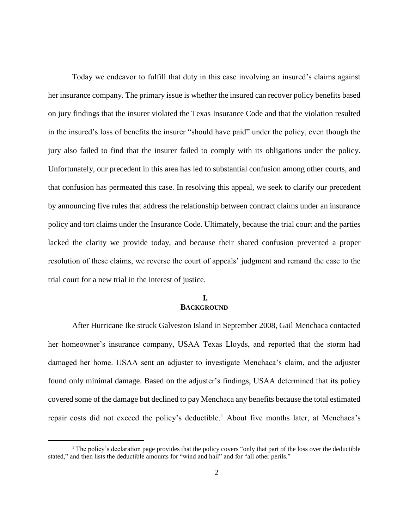Today we endeavor to fulfill that duty in this case involving an insured's claims against her insurance company. The primary issue is whether the insured can recover policy benefits based on jury findings that the insurer violated the Texas Insurance Code and that the violation resulted in the insured's loss of benefits the insurer "should have paid" under the policy, even though the jury also failed to find that the insurer failed to comply with its obligations under the policy. Unfortunately, our precedent in this area has led to substantial confusion among other courts, and that confusion has permeated this case. In resolving this appeal, we seek to clarify our precedent by announcing five rules that address the relationship between contract claims under an insurance policy and tort claims under the Insurance Code. Ultimately, because the trial court and the parties lacked the clarity we provide today, and because their shared confusion prevented a proper resolution of these claims, we reverse the court of appeals' judgment and remand the case to the trial court for a new trial in the interest of justice.

# **I. BACKGROUND**

After Hurricane Ike struck Galveston Island in September 2008, Gail Menchaca contacted her homeowner's insurance company, USAA Texas Lloyds, and reported that the storm had damaged her home. USAA sent an adjuster to investigate Menchaca's claim, and the adjuster found only minimal damage. Based on the adjuster's findings, USAA determined that its policy covered some of the damage but declined to pay Menchaca any benefits because the total estimated repair costs did not exceed the policy's deductible.<sup>1</sup> About five months later, at Menchaca's

 $\ddot{\phantom{a}}$ 

 $<sup>1</sup>$  The policy's declaration page provides that the policy covers "only that part of the loss over the deductible</sup> stated," and then lists the deductible amounts for "wind and hail" and for "all other perils."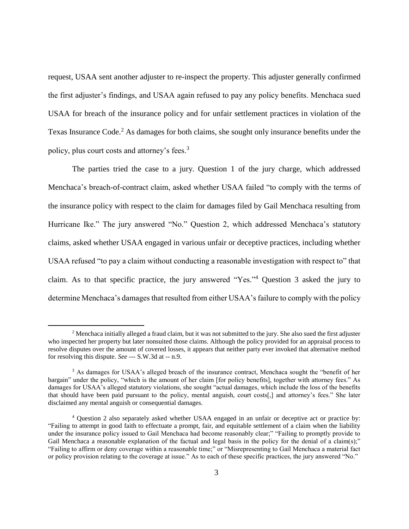request, USAA sent another adjuster to re-inspect the property. This adjuster generally confirmed the first adjuster's findings, and USAA again refused to pay any policy benefits. Menchaca sued USAA for breach of the insurance policy and for unfair settlement practices in violation of the Texas Insurance Code.<sup>2</sup> As damages for both claims, she sought only insurance benefits under the policy, plus court costs and attorney's fees.<sup>3</sup>

The parties tried the case to a jury. Question 1 of the jury charge, which addressed Menchaca's breach-of-contract claim, asked whether USAA failed "to comply with the terms of the insurance policy with respect to the claim for damages filed by Gail Menchaca resulting from Hurricane Ike." The jury answered "No." Question 2, which addressed Menchaca's statutory claims, asked whether USAA engaged in various unfair or deceptive practices, including whether USAA refused "to pay a claim without conducting a reasonable investigation with respect to" that claim. As to that specific practice, the jury answered "Yes."<sup>4</sup> Question 3 asked the jury to determine Menchaca's damages that resulted from either USAA's failure to comply with the policy

<sup>&</sup>lt;sup>2</sup> Menchaca initially alleged a fraud claim, but it was not submitted to the jury. She also sued the first adjuster who inspected her property but later nonsuited those claims. Although the policy provided for an appraisal process to resolve disputes over the amount of covered losses, it appears that neither party ever invoked that alternative method for resolving this dispute. *See* --- S.W.3d at -- n.9.

<sup>&</sup>lt;sup>3</sup> As damages for USAA's alleged breach of the insurance contract, Menchaca sought the "benefit of her bargain" under the policy, "which is the amount of her claim [for policy benefits], together with attorney fees." As damages for USAA's alleged statutory violations, she sought "actual damages, which include the loss of the benefits that should have been paid pursuant to the policy, mental anguish, court costs[,] and attorney's fees." She later disclaimed any mental anguish or consequential damages.

<sup>4</sup> Question 2 also separately asked whether USAA engaged in an unfair or deceptive act or practice by: "Failing to attempt in good faith to effectuate a prompt, fair, and equitable settlement of a claim when the liability under the insurance policy issued to Gail Menchaca had become reasonably clear;" "Failing to promptly provide to Gail Menchaca a reasonable explanation of the factual and legal basis in the policy for the denial of a claim(s);" "Failing to affirm or deny coverage within a reasonable time;" or "Misrepresenting to Gail Menchaca a material fact or policy provision relating to the coverage at issue." As to each of these specific practices, the jury answered "No."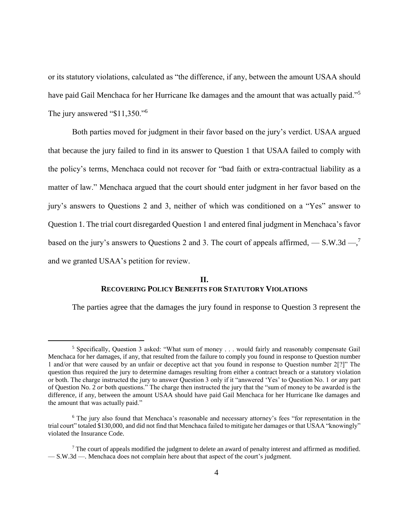or its statutory violations, calculated as "the difference, if any, between the amount USAA should have paid Gail Menchaca for her Hurricane Ike damages and the amount that was actually paid."<sup>5</sup> The jury answered "\$11,350."<sup>6</sup>

Both parties moved for judgment in their favor based on the jury's verdict. USAA argued that because the jury failed to find in its answer to Question 1 that USAA failed to comply with the policy's terms, Menchaca could not recover for "bad faith or extra-contractual liability as a matter of law." Menchaca argued that the court should enter judgment in her favor based on the jury's answers to Questions 2 and 3, neither of which was conditioned on a "Yes" answer to Question 1. The trial court disregarded Question 1 and entered final judgment in Menchaca's favor based on the jury's answers to Questions 2 and 3. The court of appeals affirmed,  $-$  S.W.3d  $-\frac{7}{5}$ and we granted USAA's petition for review.

# **II. RECOVERING POLICY BENEFITS FOR STATUTORY VIOLATIONS**

The parties agree that the damages the jury found in response to Question 3 represent the

<sup>5</sup> Specifically, Question 3 asked: "What sum of money . . . would fairly and reasonably compensate Gail Menchaca for her damages, if any, that resulted from the failure to comply you found in response to Question number 1 and/or that were caused by an unfair or deceptive act that you found in response to Question number 2[?]" The question thus required the jury to determine damages resulting from either a contract breach or a statutory violation or both. The charge instructed the jury to answer Question 3 only if it "answered 'Yes' to Question No. 1 *or* any part of Question No. 2 *or* both questions." The charge then instructed the jury that the "sum of money to be awarded is the difference, if any, between the amount USAA should have paid Gail Menchaca for her Hurricane Ike damages and the amount that was actually paid."

<sup>6</sup> The jury also found that Menchaca's reasonable and necessary attorney's fees "for representation in the trial court" totaled \$130,000, and did not find that Menchaca failed to mitigate her damages or that USAA "knowingly" violated the Insurance Code.

<sup>7</sup> The court of appeals modified the judgment to delete an award of penalty interest and affirmed as modified. — S.W.3d —. Menchaca does not complain here about that aspect of the court's judgment.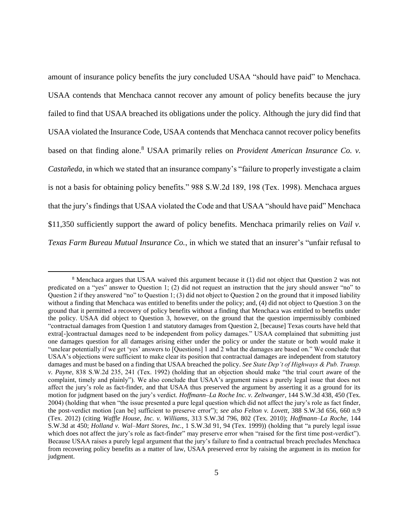amount of insurance policy benefits the jury concluded USAA "should have paid" to Menchaca. USAA contends that Menchaca cannot recover any amount of policy benefits because the jury failed to find that USAA breached its obligations under the policy. Although the jury did find that USAA violated the Insurance Code, USAA contends that Menchaca cannot recover policy benefits based on that finding alone.<sup>8</sup> USAA primarily relies on *Provident American Insurance Co. v. Castañeda*, in which we stated that an insurance company's "failure to properly investigate a claim is not a basis for obtaining policy benefits." 988 S.W.2d 189, 198 (Tex. 1998). Menchaca argues that the jury's findings that USAA violated the Code and that USAA "should have paid" Menchaca \$11,350 sufficiently support the award of policy benefits. Menchaca primarily relies on *Vail v. Texas Farm Bureau Mutual Insurance Co.*, in which we stated that an insurer's "unfair refusal to

<sup>8</sup> Menchaca argues that USAA waived this argument because it (1) did not object that Question 2 was not predicated on a "yes" answer to Question 1; (2) did not request an instruction that the jury should answer "no" to Question 2 if they answered "no" to Question 1; (3) did not object to Question 2 on the ground that it imposed liability without a finding that Menchaca was entitled to benefits under the policy; and, (4) did not object to Question 3 on the ground that it permitted a recovery of policy benefits without a finding that Menchaca was entitled to benefits under the policy. USAA did object to Question 3, however, on the ground that the question impermissibly combined "contractual damages from Question 1 and statutory damages from Question 2, [because] Texas courts have held that extra[-]contractual damages need to be independent from policy damages." USAA complained that submitting just one damages question for all damages arising either under the policy or under the statute or both would make it "unclear potentially if we get 'yes' answers to [Questions] 1 and 2 what the damages are based on." We conclude that USAA's objections were sufficient to make clear its position that contractual damages are independent from statutory damages and must be based on a finding that USAA breached the policy. *See State Dep't of Highways & Pub. Transp. v. Payne*, 838 S.W.2d 235, 241 (Tex. 1992) (holding that an objection should make "the trial court aware of the complaint, timely and plainly"). We also conclude that USAA's argument raises a purely legal issue that does not affect the jury's role as fact-finder, and that USAA thus preserved the argument by asserting it as a ground for its motion for judgment based on the jury's verdict. *Hoffmann–La Roche Inc. v. Zeltwanger*, 144 S.W.3d 438, 450 (Tex. 2004) (holding that when "the issue presented a pure legal question which did not affect the jury's role as fact finder, the post-verdict motion [can be] sufficient to preserve error"); *see also Felton v. Lovett*, 388 S.W.3d 656, 660 n.9 (Tex. 2012) (citing *Waffle House, Inc. v. Williams*, 313 S.W.3d 796, 802 (Tex. 2010); *Hoffmann–La Roche*, 144 S.W.3d at 450; *Holland v. Wal–Mart Stores, Inc.*, 1 S.W.3d 91, 94 (Tex. 1999)) (holding that "a purely legal issue which does not affect the jury's role as fact-finder" may preserve error when "raised for the first time post-verdict"). Because USAA raises a purely legal argument that the jury's failure to find a contractual breach precludes Menchaca from recovering policy benefits as a matter of law, USAA preserved error by raising the argument in its motion for judgment.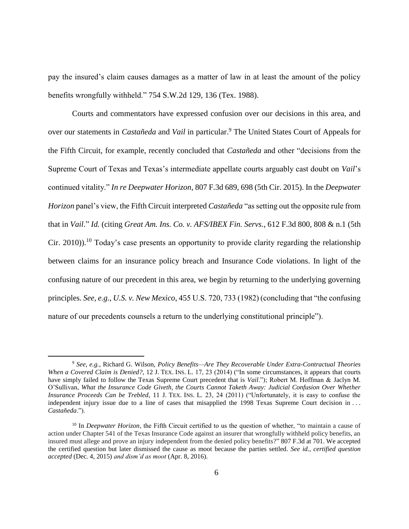pay the insured's claim causes damages as a matter of law in at least the amount of the policy benefits wrongfully withheld." 754 S.W.2d 129, 136 (Tex. 1988).

Courts and commentators have expressed confusion over our decisions in this area, and over our statements in *Castañeda* and *Vail* in particular.<sup>9</sup> The United States Court of Appeals for the Fifth Circuit, for example, recently concluded that *Castañeda* and other "decisions from the Supreme Court of Texas and Texas's intermediate appellate courts arguably cast doubt on *Vail*'s continued vitality." *In re Deepwater Horizon*, 807 F.3d 689, 698 (5th Cir. 2015). In the *Deepwater Horizon* panel's view, the Fifth Circuit interpreted *Castañeda* "as setting out the opposite rule from that in *Vail*." *Id.* (citing *Great Am. Ins. Co. v. AFS/IBEX Fin. Servs.*, 612 F.3d 800, 808 & n.1 (5th Cir. 2010)).<sup>10</sup> Today's case presents an opportunity to provide clarity regarding the relationship between claims for an insurance policy breach and Insurance Code violations. In light of the confusing nature of our precedent in this area, we begin by returning to the underlying governing principles. *See, e.g.*, *U.S. v. New Mexico*, 455 U.S. 720, 733 (1982) (concluding that "the confusing nature of our precedents counsels a return to the underlying constitutional principle").

<sup>9</sup> *See, e.g.*, Richard G. Wilson, *Policy Benefits—Are They Recoverable Under Extra-Contractual Theories When a Covered Claim is Denied?*, 12 J. TEX. INS. L. 17, 23 (2014) ("In some circumstances, it appears that courts have simply failed to follow the Texas Supreme Court precedent that is *Vail.*"); Robert M. Hoffman & Jaclyn M. O'Sullivan, *What the Insurance Code Giveth, the Courts Cannot Taketh Away: Judicial Confusion Over Whether Insurance Proceeds Can be Trebled*, 11 J. TEX. INS. L. 23, 24 (2011) ("Unfortunately, it is easy to confuse the independent injury issue due to a line of cases that misapplied the 1998 Texas Supreme Court decision in . . . *Castañeda*.").

<sup>&</sup>lt;sup>10</sup> In *Deepwater Horizon*, the Fifth Circuit certified to us the question of whether, "to maintain a cause of action under Chapter 541 of the Texas Insurance Code against an insurer that wrongfully withheld policy benefits, an insured must allege and prove an injury independent from the denied policy benefits?" 807 F.3d at 701. We accepted the certified question but later dismissed the cause as moot because the parties settled. *See id.*, *certified question accepted* (Dec. 4, 2015) *and dism'd as moot* (Apr. 8, 2016).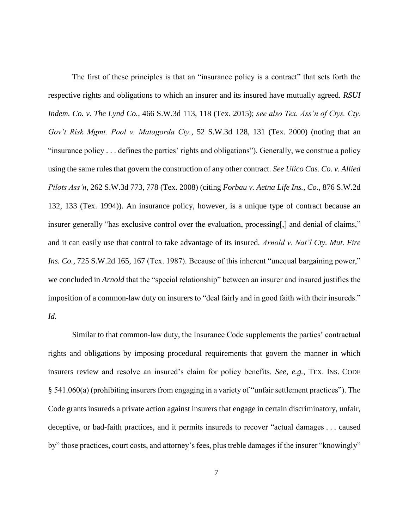The first of these principles is that an "insurance policy is a contract" that sets forth the respective rights and obligations to which an insurer and its insured have mutually agreed. *RSUI Indem. Co. v. The Lynd Co.*, 466 S.W.3d 113, 118 (Tex. 2015); *see also Tex. Ass'n of Ctys. Cty. Gov't Risk Mgmt. Pool v. Matagorda Cty.*, 52 S.W.3d 128, 131 (Tex. 2000) (noting that an "insurance policy . . . defines the parties' rights and obligations"). Generally, we construe a policy using the same rules that govern the construction of any other contract. *See Ulico Cas. Co. v. Allied Pilots Ass'n*, 262 S.W.3d 773, 778 (Tex. 2008) (citing *Forbau v. Aetna Life Ins., Co.*, 876 S.W.2d 132, 133 (Tex. 1994)). An insurance policy, however, is a unique type of contract because an insurer generally "has exclusive control over the evaluation, processing[,] and denial of claims," and it can easily use that control to take advantage of its insured. *Arnold v. Nat'l Cty. Mut. Fire Ins. Co.*, 725 S.W.2d 165, 167 (Tex. 1987). Because of this inherent "unequal bargaining power," we concluded in *Arnold* that the "special relationship" between an insurer and insured justifies the imposition of a common-law duty on insurers to "deal fairly and in good faith with their insureds." *Id.*

Similar to that common-law duty, the Insurance Code supplements the parties' contractual rights and obligations by imposing procedural requirements that govern the manner in which insurers review and resolve an insured's claim for policy benefits. *See, e.g.*, TEX. INS. CODE § 541.060(a) (prohibiting insurers from engaging in a variety of "unfair settlement practices"). The Code grants insureds a private action against insurers that engage in certain discriminatory, unfair, deceptive, or bad-faith practices, and it permits insureds to recover "actual damages . . . caused by" those practices, court costs, and attorney's fees, plus treble damages if the insurer "knowingly"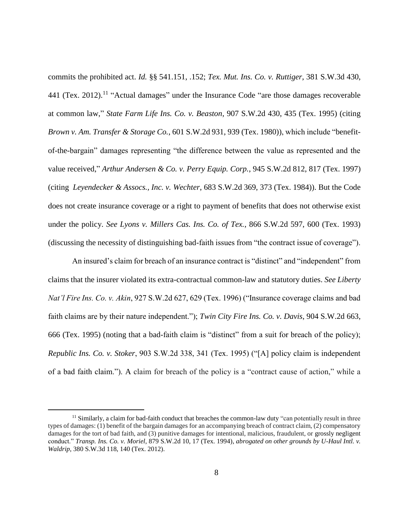commits the prohibited act. *Id.* §§ 541.151, .152; *Tex. Mut. Ins. Co. v. Ruttiger*, 381 S.W.3d 430, 441 (Tex. 2012).<sup>11</sup> "Actual damages" under the Insurance Code "are those damages recoverable at common law," *State Farm Life Ins. Co. v. Beaston*, 907 S.W.2d 430, 435 (Tex. 1995) (citing *Brown v. Am. Transfer & Storage Co.*, 601 S.W.2d 931, 939 (Tex. 1980)), which include "benefitof-the-bargain" damages representing "the difference between the value as represented and the value received," *Arthur Andersen & Co. v. Perry Equip. Corp.*, 945 S.W.2d 812, 817 (Tex. 1997) (citing *Leyendecker & Assocs., Inc. v. Wechter*, 683 S.W.2d 369, 373 (Tex. 1984)). But the Code does not create insurance coverage or a right to payment of benefits that does not otherwise exist under the policy. *See Lyons v. Millers Cas. Ins. Co. of Tex.*, 866 S.W.2d 597, 600 (Tex. 1993) (discussing the necessity of distinguishing bad-faith issues from "the contract issue of coverage").

An insured's claim for breach of an insurance contract is "distinct" and "independent" from claims that the insurer violated its extra-contractual common-law and statutory duties. *See Liberty Nat'l Fire Ins. Co. v. Akin*, 927 S.W.2d 627, 629 (Tex. 1996) ("Insurance coverage claims and bad faith claims are by their nature independent."); *Twin City Fire Ins. Co. v. Davis*, 904 S.W.2d 663, 666 (Tex. 1995) (noting that a bad-faith claim is "distinct" from a suit for breach of the policy); *Republic Ins. Co. v. Stoker*, 903 S.W.2d 338, 341 (Tex. 1995) ("[A] policy claim is independent of a bad faith claim."). A claim for breach of the policy is a "contract cause of action," while a

<sup>&</sup>lt;sup>11</sup> Similarly, a claim for bad-faith conduct that breaches the common-law duty "can potentially result in three types of damages: (1) benefit of the bargain damages for an accompanying breach of contract claim, (2) compensatory damages for the tort of bad faith, and (3) punitive damages for intentional, malicious, fraudulent, or grossly negligent conduct." *Transp. Ins. Co. v. Moriel*, 879 S.W.2d 10, 17 (Tex. 1994), *abrogated on other grounds by U-Haul Intl. v. Waldrip*, 380 S.W.3d 118, 140 (Tex. 2012).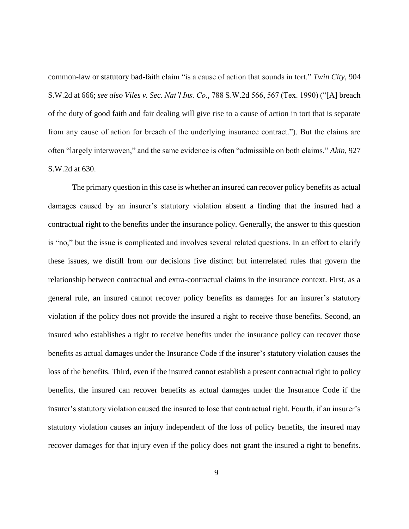common-law or statutory bad-faith claim "is a cause of action that sounds in tort." *Twin City*, 904 S.W.2d at 666; *see also Viles v. Sec. Nat'l Ins. Co.*, 788 S.W.2d 566, 567 (Tex. 1990) ("[A] breach of the duty of good faith and fair dealing will give rise to a cause of action in tort that is separate from any cause of action for breach of the underlying insurance contract."). But the claims are often "largely interwoven," and the same evidence is often "admissible on both claims." *Akin*, 927 S.W.2d at 630.

The primary question in this case is whether an insured can recover policy benefits as actual damages caused by an insurer's statutory violation absent a finding that the insured had a contractual right to the benefits under the insurance policy. Generally, the answer to this question is "no," but the issue is complicated and involves several related questions. In an effort to clarify these issues, we distill from our decisions five distinct but interrelated rules that govern the relationship between contractual and extra-contractual claims in the insurance context. First, as a general rule, an insured cannot recover policy benefits as damages for an insurer's statutory violation if the policy does not provide the insured a right to receive those benefits. Second, an insured who establishes a right to receive benefits under the insurance policy can recover those benefits as actual damages under the Insurance Code if the insurer's statutory violation causes the loss of the benefits. Third, even if the insured cannot establish a present contractual right to policy benefits, the insured can recover benefits as actual damages under the Insurance Code if the insurer's statutory violation caused the insured to lose that contractual right. Fourth, if an insurer's statutory violation causes an injury independent of the loss of policy benefits, the insured may recover damages for that injury even if the policy does not grant the insured a right to benefits.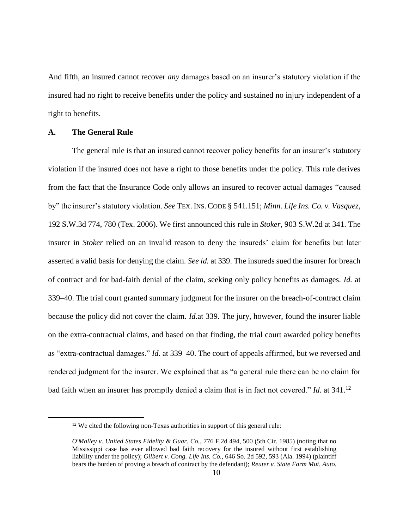And fifth, an insured cannot recover *any* damages based on an insurer's statutory violation if the insured had no right to receive benefits under the policy and sustained no injury independent of a right to benefits.

#### **A. The General Rule**

 $\overline{a}$ 

The general rule is that an insured cannot recover policy benefits for an insurer's statutory violation if the insured does not have a right to those benefits under the policy. This rule derives from the fact that the Insurance Code only allows an insured to recover actual damages "caused by" the insurer's statutory violation. *See* TEX. INS. CODE § 541.151; *Minn. Life Ins. Co. v. Vasquez*, 192 S.W.3d 774, 780 (Tex. 2006). We first announced this rule in *Stoker*, 903 S.W.2d at 341. The insurer in *Stoker* relied on an invalid reason to deny the insureds' claim for benefits but later asserted a valid basis for denying the claim. *See id.* at 339. The insureds sued the insurer for breach of contract and for bad-faith denial of the claim, seeking only policy benefits as damages. *Id.* at 339–40. The trial court granted summary judgment for the insurer on the breach-of-contract claim because the policy did not cover the claim. *Id.*at 339. The jury, however, found the insurer liable on the extra-contractual claims, and based on that finding, the trial court awarded policy benefits as "extra-contractual damages." *Id.* at 339–40. The court of appeals affirmed, but we reversed and rendered judgment for the insurer. We explained that as "a general rule there can be no claim for bad faith when an insurer has promptly denied a claim that is in fact not covered." *Id.* at 341.<sup>12</sup>

<sup>&</sup>lt;sup>12</sup> We cited the following non-Texas authorities in support of this general rule:

*O'Malley v. United States Fidelity & Guar. Co.*, 776 F.2d 494, 500 (5th Cir. 1985) (noting that no Mississippi case has ever allowed bad faith recovery for the insured without first establishing liability under the policy); *Gilbert v. Cong. Life Ins. Co.*, 646 So. 2d 592, 593 (Ala. 1994) (plaintiff bears the burden of proving a breach of contract by the defendant); *Reuter v. State Farm Mut. Auto.*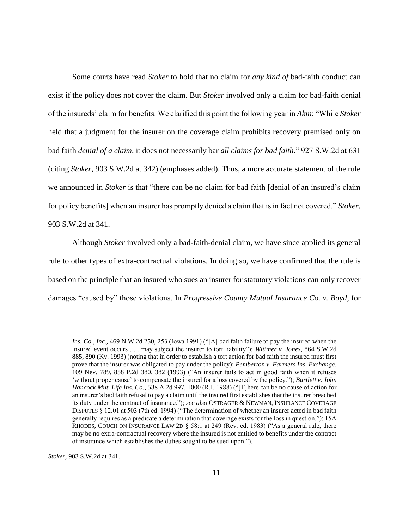Some courts have read *Stoker* to hold that no claim for *any kind of* bad-faith conduct can exist if the policy does not cover the claim. But *Stoker* involved only a claim for bad-faith denial of the insureds' claim for benefits. We clarified this point the following year in *Akin*: "While *Stoker* held that a judgment for the insurer on the coverage claim prohibits recovery premised only on bad faith *denial of a claim*, it does not necessarily bar *all claims for bad faith*." 927 S.W.2d at 631 (citing *Stoker,* 903 S.W.2d at 342) (emphases added). Thus, a more accurate statement of the rule we announced in *Stoker* is that "there can be no claim for bad faith [denial of an insured's claim for policy benefits] when an insurer has promptly denied a claim that is in fact not covered." *Stoker*, 903 S.W.2d at 341.

Although *Stoker* involved only a bad-faith-denial claim, we have since applied its general rule to other types of extra-contractual violations. In doing so, we have confirmed that the rule is based on the principle that an insured who sues an insurer for statutory violations can only recover damages "caused by" those violations. In *Progressive County Mutual Insurance Co. v. Boyd*, for

*Stoker*, 903 S.W.2d at 341.

 $\ddot{ }$ 

*Ins. Co., Inc.,* 469 N.W.2d 250, 253 (Iowa 1991) ("[A] bad faith failure to pay the insured when the insured event occurs . . . may subject the insurer to tort liability"); *Wittmer v. Jones*, 864 S.W.2d 885, 890 (Ky. 1993) (noting that in order to establish a tort action for bad faith the insured must first prove that the insurer was obligated to pay under the policy); *Pemberton v. Farmers Ins. Exchange*, 109 Nev. 789, 858 P.2d 380, 382 (1993) ("An insurer fails to act in good faith when it refuses 'without proper cause' to compensate the insured for a loss covered by the policy."); *Bartlett v. John Hancock Mut. Life Ins. Co.*, 538 A.2d 997, 1000 (R.I. 1988) ("[T]here can be no cause of action for an insurer's bad faith refusal to pay a claim until the insured first establishes that the insurer breached its duty under the contract of insurance."); *see also* OSTRAGER & NEWMAN, INSURANCE COVERAGE DISPUTES § 12.01 at 503 (7th ed. 1994) ("The determination of whether an insurer acted in bad faith generally requires as a predicate a determination that coverage exists for the loss in question."); 15A RHODES, COUCH ON INSURANCE LAW 2D § 58:1 at 249 (Rev. ed. 1983) ("As a general rule, there may be no extra-contractual recovery where the insured is not entitled to benefits under the contract of insurance which establishes the duties sought to be sued upon.").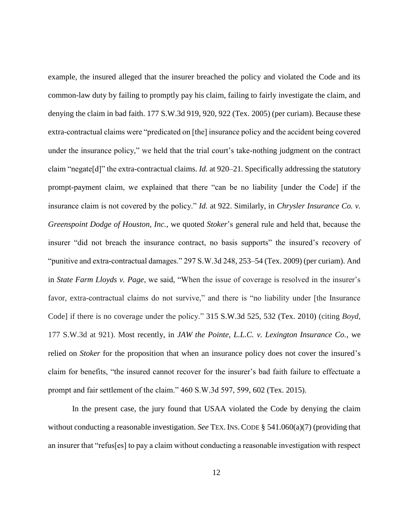example, the insured alleged that the insurer breached the policy and violated the Code and its common-law duty by failing to promptly pay his claim, failing to fairly investigate the claim, and denying the claim in bad faith. 177 S.W.3d 919, 920, 922 (Tex. 2005) (per curiam). Because these extra-contractual claims were "predicated on [the] insurance policy and the accident being covered under the insurance policy," we held that the trial court's take-nothing judgment on the contract claim "negate[d]" the extra-contractual claims. *Id.* at 920–21. Specifically addressing the statutory prompt-payment claim, we explained that there "can be no liability [under the Code] if the insurance claim is not covered by the policy." *Id.* at 922. Similarly, in *Chrysler Insurance Co. v. Greenspoint Dodge of Houston, Inc.*, we quoted *Stoker*'s general rule and held that, because the insurer "did not breach the insurance contract, no basis supports" the insured's recovery of "punitive and extra-contractual damages." 297 S.W.3d 248, 253–54 (Tex. 2009) (per curiam). And in *State Farm Lloyds v. Page*, we said, "When the issue of coverage is resolved in the insurer's favor, extra-contractual claims do not survive," and there is "no liability under [the Insurance Code] if there is no coverage under the policy." 315 S.W.3d 525, 532 (Tex. 2010) (citing *Boyd*, 177 S.W.3d at 921). Most recently, in *JAW the Pointe, L.L.C. v. Lexington Insurance Co.*, we relied on *Stoker* for the proposition that when an insurance policy does not cover the insured's claim for benefits, "the insured cannot recover for the insurer's bad faith failure to effectuate a prompt and fair settlement of the claim." 460 S.W.3d 597, 599, 602 (Tex. 2015).

In the present case, the jury found that USAA violated the Code by denying the claim without conducting a reasonable investigation. *See* TEX. INS. CODE § 541.060(a)(7) (providing that an insurer that "refus[es] to pay a claim without conducting a reasonable investigation with respect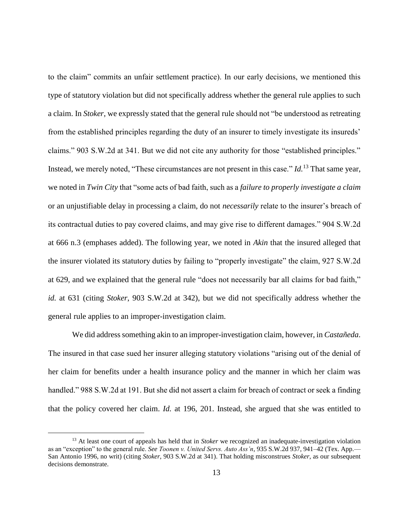to the claim" commits an unfair settlement practice). In our early decisions, we mentioned this type of statutory violation but did not specifically address whether the general rule applies to such a claim. In *Stoker*, we expressly stated that the general rule should not "be understood as retreating from the established principles regarding the duty of an insurer to timely investigate its insureds' claims." 903 S.W.2d at 341. But we did not cite any authority for those "established principles." Instead, we merely noted, "These circumstances are not present in this case." *Id.*<sup>13</sup> That same year, we noted in *Twin City* that "some acts of bad faith, such as a *failure to properly investigate a claim* or an unjustifiable delay in processing a claim, do not *necessarily* relate to the insurer's breach of its contractual duties to pay covered claims, and may give rise to different damages." 904 S.W.2d at 666 n.3 (emphases added). The following year, we noted in *Akin* that the insured alleged that the insurer violated its statutory duties by failing to "properly investigate" the claim, 927 S.W.2d at 629, and we explained that the general rule "does not necessarily bar all claims for bad faith," *id.* at 631 (citing *Stoker*, 903 S.W.2d at 342), but we did not specifically address whether the general rule applies to an improper-investigation claim.

We did address something akin to an improper-investigation claim, however, in *Castañeda*. The insured in that case sued her insurer alleging statutory violations "arising out of the denial of her claim for benefits under a health insurance policy and the manner in which her claim was handled." 988 S.W.2d at 191. But she did not assert a claim for breach of contract or seek a finding that the policy covered her claim. *Id.* at 196, 201. Instead, she argued that she was entitled to

<sup>&</sup>lt;sup>13</sup> At least one court of appeals has held that in *Stoker* we recognized an inadequate-investigation violation as an "exception" to the general rule. *See Toonen v. United Servs. Auto Ass'n*, 935 S.W.2d 937, 941–42 (Tex. App.— San Antonio 1996, no writ) (citing *Stoker*, 903 S.W.2d at 341). That holding misconstrues *Stoker*, as our subsequent decisions demonstrate.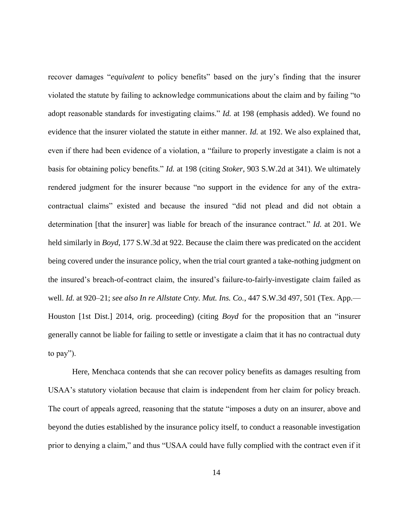recover damages "*equivalent* to policy benefits" based on the jury's finding that the insurer violated the statute by failing to acknowledge communications about the claim and by failing "to adopt reasonable standards for investigating claims." *Id.* at 198 (emphasis added). We found no evidence that the insurer violated the statute in either manner. *Id.* at 192. We also explained that, even if there had been evidence of a violation, a "failure to properly investigate a claim is not a basis for obtaining policy benefits." *Id.* at 198 (citing *Stoker*, 903 S.W.2d at 341). We ultimately rendered judgment for the insurer because "no support in the evidence for any of the extracontractual claims" existed and because the insured "did not plead and did not obtain a determination [that the insurer] was liable for breach of the insurance contract." *Id.* at 201. We held similarly in *Boyd*, 177 S.W.3d at 922. Because the claim there was predicated on the accident being covered under the insurance policy, when the trial court granted a take-nothing judgment on the insured's breach-of-contract claim, the insured's failure-to-fairly-investigate claim failed as well. *Id.* at 920–21; *see also In re Allstate Cnty. Mut. Ins. Co.*, 447 S.W.3d 497, 501 (Tex. App.— Houston [1st Dist.] 2014, orig. proceeding) (citing *Boyd* for the proposition that an "insurer generally cannot be liable for failing to settle or investigate a claim that it has no contractual duty to pay").

Here, Menchaca contends that she can recover policy benefits as damages resulting from USAA's statutory violation because that claim is independent from her claim for policy breach. The court of appeals agreed, reasoning that the statute "imposes a duty on an insurer, above and beyond the duties established by the insurance policy itself, to conduct a reasonable investigation prior to denying a claim," and thus "USAA could have fully complied with the contract even if it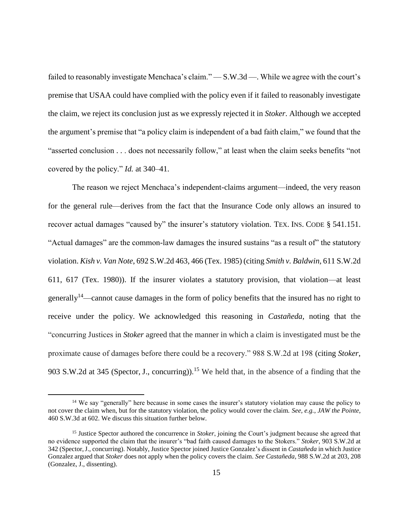failed to reasonably investigate Menchaca's claim." — S.W.3d —. While we agree with the court's premise that USAA could have complied with the policy even if it failed to reasonably investigate the claim, we reject its conclusion just as we expressly rejected it in *Stoker*. Although we accepted the argument's premise that "a policy claim is independent of a bad faith claim," we found that the "asserted conclusion . . . does not necessarily follow," at least when the claim seeks benefits "not covered by the policy." *Id.* at 340–41.

The reason we reject Menchaca's independent-claims argument—indeed, the very reason for the general rule—derives from the fact that the Insurance Code only allows an insured to recover actual damages "caused by" the insurer's statutory violation. TEX. INS. CODE § 541.151. "Actual damages" are the common-law damages the insured sustains "as a result of" the statutory violation. *Kish v. Van Note*, 692 S.W.2d 463, 466 (Tex. 1985) (citing *Smith v. Baldwin*, 611 S.W.2d 611, 617 (Tex. 1980)). If the insurer violates a statutory provision, that violation—at least generally<sup>14</sup>—cannot cause damages in the form of policy benefits that the insured has no right to receive under the policy. We acknowledged this reasoning in *Castañeda*, noting that the "concurring Justices in *[Stoker](https://1.next.westlaw.com/Link/Document/FullText?findType=Y&serNum=1995146559&originatingDoc=Ia54ee081e7bf11d9bf60c1d57ebc853e&refType=RP&originationContext=document&transitionType=DocumentItem&contextData=(sc.UserEnteredCitation))* agreed that the manner in which a claim is investigated must be the proximate cause of damages before there could be a recovery." 988 S.W.2d at 198 (citing *Stoker*, 903 S.W.2d at 345 (Spector, J., concurring)).<sup>15</sup> We held that, in the absence of a finding that the

 $\ddot{ }$ 

<sup>&</sup>lt;sup>14</sup> We say "generally" here because in some cases the insurer's statutory violation may cause the policy to not cover the claim when, but for the statutory violation, the policy would cover the claim. *See, e.g.*, *JAW the Pointe*, 460 S.W.3d at 602. We discuss this situation further below.

<sup>15</sup> Justice Spector authored the concurrence in *Stoker*, joining the Court's judgment because she agreed that no evidence supported the claim that the insurer's "bad faith caused damages to the Stokers." *Stoker*, 903 S.W.2d at 342 (Spector,J., concurring). Notably, Justice Spector joined Justice Gonzalez's dissent in *Castañeda* in which Justice Gonzalez argued that *Stoker* does not apply when the policy covers the claim. *See Castañeda*, 988 S.W.2d at 203, 208 (Gonzalez, J., dissenting).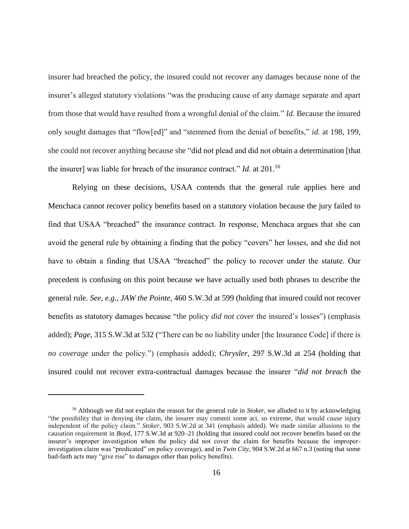insurer had breached the policy, the insured could not recover any damages because none of the insurer's alleged statutory violations "was the producing cause of any damage separate and apart from those that would have resulted from a wrongful denial of the claim." *Id.* Because the insured only sought damages that "flow[ed]" and "stemmed from the denial of benefits," *id.* at 198, 199, she could not recover anything because she "did not plead and did not obtain a determination [that the insurer] was liable for breach of the insurance contract." *Id.* at 201.<sup>16</sup>

Relying on these decisions, USAA contends that the general rule applies here and Menchaca cannot recover policy benefits based on a statutory violation because the jury failed to find that USAA "breached" the insurance contract. In response, Menchaca argues that she can avoid the general rule by obtaining a finding that the policy "covers" her losses, and she did not have to obtain a finding that USAA "breached" the policy to recover under the statute. Our precedent is confusing on this point because we have actually used both phrases to describe the general rule. *See, e.g.*, *JAW the Pointe*, 460 S.W.3d at 599 (holding that insured could not recover benefits as statutory damages because "the policy *did not cover* the insured's losses") (emphasis added); *Page*, 315 S.W.3d at 532 ("There can be no liability under [the Insurance Code] if there is *no coverage* under the policy.") (emphasis added); *Chrysler*, 297 S.W.3d at 254 (holding that insured could not recover extra-contractual damages because the insurer "*did not breach* the

 $\ddot{ }$ 

<sup>&</sup>lt;sup>16</sup> Although we did not explain the reason for the general rule in *Stoker*, we alluded to it by acknowledging "the possibility that in denying the claim, the insurer may commit some act, so extreme, that would *cause* injury independent of the policy claim." *Stoker*, 903 S.W.2d at 341 (emphasis added). We made similar allusions to the causation requirement in *Boyd*, 177 S.W.3d at 920–21 (holding that insured could not recover benefits based on the insurer's improper investigation when the policy did not cover the claim for benefits because the improperinvestigation claim was "predicated" on policy coverage), and in *Twin City*, 904 S.W.2d at 667 n.3 (noting that some bad-faith acts may "give rise" to damages other than policy benefits).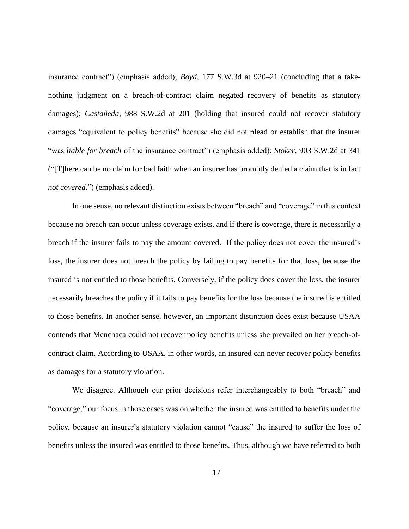insurance contract") (emphasis added); *Boyd*, 177 S.W.3d at 920–21 (concluding that a takenothing judgment on a breach-of-contract claim negated recovery of benefits as statutory damages); *Castañeda*, 988 S.W.2d at 201 (holding that insured could not recover statutory damages "equivalent to policy benefits" because she did not plead or establish that the insurer "was *liable for breach* of the insurance contract") (emphasis added); *Stoker*, 903 S.W.2d at 341 ("[T]here can be no claim for bad faith when an insurer has promptly denied a claim that is in fact *not covered*.") (emphasis added).

In one sense, no relevant distinction exists between "breach" and "coverage" in this context because no breach can occur unless coverage exists, and if there is coverage, there is necessarily a breach if the insurer fails to pay the amount covered. If the policy does not cover the insured's loss, the insurer does not breach the policy by failing to pay benefits for that loss, because the insured is not entitled to those benefits. Conversely, if the policy does cover the loss, the insurer necessarily breaches the policy if it fails to pay benefits for the loss because the insured is entitled to those benefits. In another sense, however, an important distinction does exist because USAA contends that Menchaca could not recover policy benefits unless she prevailed on her breach-ofcontract claim. According to USAA, in other words, an insured can never recover policy benefits as damages for a statutory violation.

We disagree. Although our prior decisions refer interchangeably to both "breach" and "coverage," our focus in those cases was on whether the insured was entitled to benefits under the policy, because an insurer's statutory violation cannot "cause" the insured to suffer the loss of benefits unless the insured was entitled to those benefits. Thus, although we have referred to both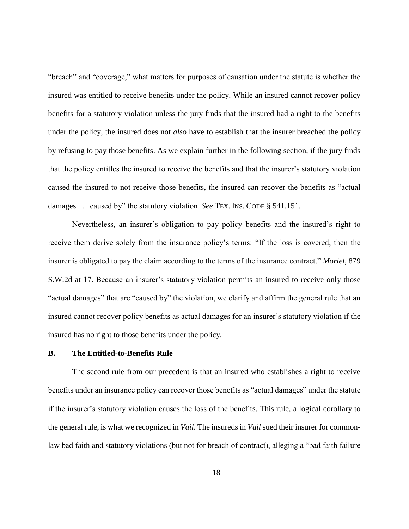"breach" and "coverage," what matters for purposes of causation under the statute is whether the insured was entitled to receive benefits under the policy. While an insured cannot recover policy benefits for a statutory violation unless the jury finds that the insured had a right to the benefits under the policy, the insured does not *also* have to establish that the insurer breached the policy by refusing to pay those benefits. As we explain further in the following section, if the jury finds that the policy entitles the insured to receive the benefits and that the insurer's statutory violation caused the insured to not receive those benefits, the insured can recover the benefits as "actual damages . . . caused by" the statutory violation. *See* TEX. INS. CODE § 541.151.

Nevertheless, an insurer's obligation to pay policy benefits and the insured's right to receive them derive solely from the insurance policy's terms: "If the loss is covered, then the insurer is obligated to pay the claim according to the terms of the insurance contract." *Moriel,* 879 S.W.2d at 17. Because an insurer's statutory violation permits an insured to receive only those "actual damages" that are "caused by" the violation, we clarify and affirm the general rule that an insured cannot recover policy benefits as actual damages for an insurer's statutory violation if the insured has no right to those benefits under the policy.

## **B. The Entitled-to-Benefits Rule**

The second rule from our precedent is that an insured who establishes a right to receive benefits under an insurance policy can recover those benefits as "actual damages" under the statute if the insurer's statutory violation causes the loss of the benefits. This rule, a logical corollary to the general rule, is what we recognized in *Vail*. The insureds in *Vail* sued their insurer for commonlaw bad faith and statutory violations (but not for breach of contract), alleging a "bad faith failure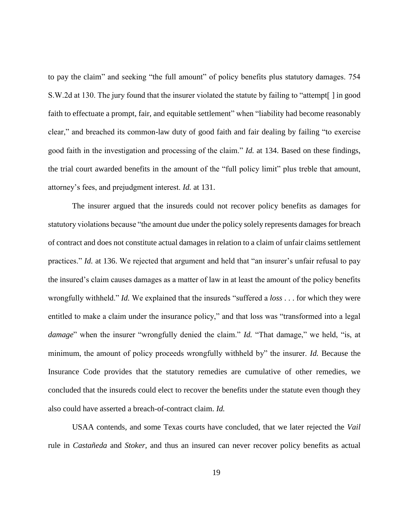to pay the claim" and seeking "the full amount" of policy benefits plus statutory damages. 754 S.W.2d at 130. The jury found that the insurer violated the statute by failing to "attempt[ ] in good faith to effectuate a prompt, fair, and equitable settlement" when "liability had become reasonably clear," and breached its common-law duty of good faith and fair dealing by failing "to exercise good faith in the investigation and processing of the claim." *Id.* at 134. Based on these findings, the trial court awarded benefits in the amount of the "full policy limit" plus treble that amount, attorney's fees, and prejudgment interest. *Id.* at 131.

The insurer argued that the insureds could not recover policy benefits as damages for statutory violations because "the amount due under the policy solely represents damages for breach of contract and does not constitute actual damages in relation to a claim of unfair claims settlement practices." *Id.* at 136. We rejected that argument and held that "an insurer's unfair refusal to pay the insured's claim causes damages as a matter of law in at least the amount of the policy benefits wrongfully withheld." *Id.* We explained that the insureds "suffered a *loss* . . . for which they were entitled to make a claim under the insurance policy," and that loss was "transformed into a legal *damage*" when the insurer "wrongfully denied the claim." *Id.* "That damage," we held, "is, at minimum, the amount of policy proceeds wrongfully withheld by" the insurer. *Id.* Because the Insurance Code provides that the statutory remedies are cumulative of other remedies, we concluded that the insureds could elect to recover the benefits under the statute even though they also could have asserted a breach-of-contract claim. *Id.*

USAA contends, and some Texas courts have concluded, that we later rejected the *Vail* rule in *Castañeda* and *Stoker*, and thus an insured can never recover policy benefits as actual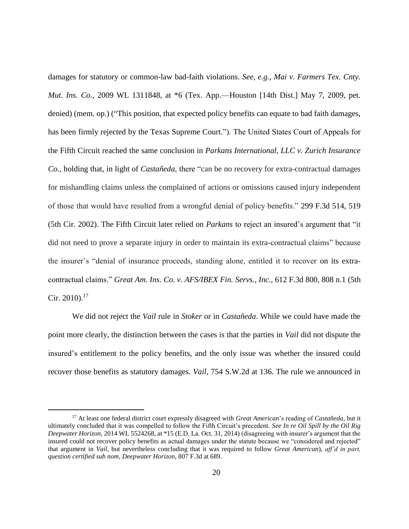damages for statutory or common-law bad-faith violations. *See, e.g.*, *Mai v. Farmers Tex. Cnty. Mut. Ins. Co.*, 2009 WL 1311848, at \*6 (Tex. App.—Houston [14th Dist.] May 7, 2009, pet. denied) (mem. op.) ("This position, that expected policy benefits can equate to bad faith damages, has been firmly rejected by the Texas Supreme Court."). The United States Court of Appeals for the Fifth Circuit reached the same conclusion in *Parkans International, LLC v. Zurich Insurance Co.*, holding that, in light of *Castañeda*, there "can be no recovery for extra-contractual damages for mishandling claims unless the complained of actions or omissions caused injury independent of those that would have resulted from a wrongful denial of policy benefits." 299 F.3d 514, 519 (5th Cir. 2002). The Fifth Circuit later relied on *Parkans* to reject an insured's argument that "it did not need to prove a separate injury in order to maintain its extra-contractual claims" because the insurer's "denial of insurance proceeds, standing alone, entitled it to recover on its extracontractual claims." *Great Am. Ins. Co. v. AFS/IBEX Fin. Servs., Inc.*, 612 F.3d 800, 808 n.1 (5th Cir. 2010). $^{17}$ 

We did not reject the *Vail* rule in *Stoker* or in *Castañeda*. While we could have made the point more clearly, the distinction between the cases is that the parties in *Vail* did not dispute the insured's entitlement to the policy benefits, and the only issue was whether the insured could recover those benefits as statutory damages. *Vail*, 754 S.W.2d at 136. The rule we announced in

<sup>17</sup> At least one federal district court expressly disagreed with *Great American*'s reading of *Castañeda*, but it ultimately concluded that it was compelled to follow the Fifth Circuit's precedent. *See In re Oil Spill by the Oil Rig Deepwater Horizon*, 2014 WL 5524268, at \*15 (E.D. La. Oct. 31, 2014) (disagreeing with insurer's argument that the insured could not recover policy benefits as actual damages under the statute because we "considered and rejected" that argument in *Vail,* but nevertheless concluding that it was required to follow *Great American*), *aff'd in part, question certified sub nom*, *Deepwater Horizon*, 807 F.3d at 689.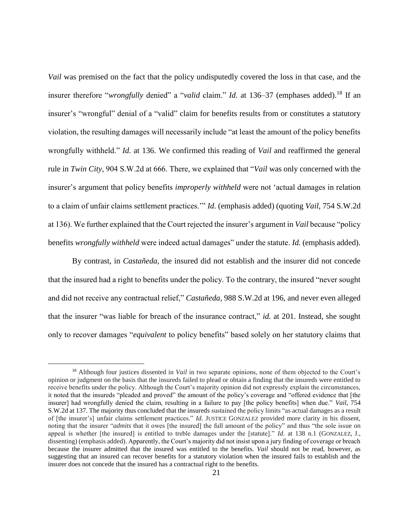*Vail* was premised on the fact that the policy undisputedly covered the loss in that case, and the insurer therefore "*wrongfully* denied" a "*valid* claim." *Id.* at 136–37 (emphases added). <sup>18</sup> If an insurer's "wrongful" denial of a "valid" claim for benefits results from or constitutes a statutory violation, the resulting damages will necessarily include "at least the amount of the policy benefits wrongfully withheld." *Id.* at 136. We confirmed this reading of *Vail* and reaffirmed the general rule in *Twin City*, 904 S.W.2d at 666. There, we explained that "*Vail* was only concerned with the insurer's argument that policy benefits *improperly withheld* were not 'actual damages in relation to a claim of unfair claims settlement practices.'" *Id.* (emphasis added) (quoting *Vail*, 754 S.W.2d at 136). We further explained that the Court rejected the insurer's argument in *Vail* because "policy benefits *wrongfully withheld* were indeed actual damages" under the statute. *Id.* (emphasis added).

By contrast, in *Castañeda*, the insured did not establish and the insurer did not concede that the insured had a right to benefits under the policy. To the contrary, the insured "never sought and did not receive any contractual relief," *Castañeda*, 988 S.W.2d at 196, and never even alleged that the insurer "was liable for breach of the insurance contract," *id.* at 201. Instead, she sought only to recover damages "*equivalent* to policy benefits" based solely on her statutory claims that

<sup>&</sup>lt;sup>18</sup> Although four justices dissented in *Vail* in two separate opinions, none of them objected to the Court's opinion or judgment on the basis that the insureds failed to plead or obtain a finding that the insureds were entitled to receive benefits under the policy. Although the Court's majority opinion did not expressly explain the circumstances, it noted that the insureds "pleaded and proved" the amount of the policy's coverage and "offered evidence that [the insurer] had wrongfully denied the claim, resulting in a failure to pay [the policy benefits] when due." *Vail*, 754 S.W.2d at 137. The majority thus concluded that the insureds sustained the policy limits "as actual damages as a result of [the insurer's] unfair claims settlement practices." *Id.* JUSTICE GONZALEZ provided more clarity in his dissent, noting that the insurer "*admits* that it owes [the insured] the full amount of the policy" and thus "the sole issue on appeal is whether [the insured] is entitled to treble damages under the [statute]." *Id.* at 138 n.1 (GONZALEZ, J., dissenting) (emphasis added). Apparently, the Court's majority did not insist upon a jury finding of coverage or breach because the insurer admitted that the insured was entitled to the benefits. *Vail* should not be read, however, as suggesting that an insured can recover benefits for a statutory violation when the insured fails to establish and the insurer does not concede that the insured has a contractual right to the benefits.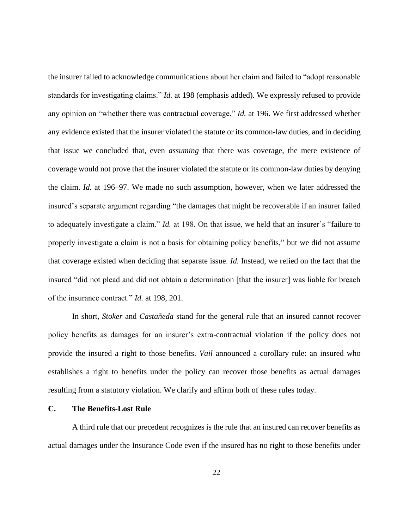the insurer failed to acknowledge communications about her claim and failed to "adopt reasonable standards for investigating claims." *Id.* at 198 (emphasis added). We expressly refused to provide any opinion on "whether there was contractual coverage." *Id.* at 196. We first addressed whether any evidence existed that the insurer violated the statute or its common-law duties, and in deciding that issue we concluded that, even *assuming* that there was coverage, the mere existence of coverage would not prove that the insurer violated the statute or its common-law duties by denying the claim. *Id.* at 196–97. We made no such assumption, however, when we later addressed the insured's separate argument regarding "the damages that might be recoverable if an insurer failed to adequately investigate a claim." *Id.* at 198. On that issue, we held that an insurer's "failure to properly investigate a claim is not a basis for obtaining policy benefits," but we did not assume that coverage existed when deciding that separate issue. *Id.* Instead, we relied on the fact that the insured "did not plead and did not obtain a determination [that the insurer] was liable for breach of the insurance contract." *Id.* at 198, 201.

In short, *Stoker* and *Castañeda* stand for the general rule that an insured cannot recover policy benefits as damages for an insurer's extra-contractual violation if the policy does not provide the insured a right to those benefits. *Vail* announced a corollary rule: an insured who establishes a right to benefits under the policy can recover those benefits as actual damages resulting from a statutory violation. We clarify and affirm both of these rules today.

# **C. The Benefits-Lost Rule**

A third rule that our precedent recognizes is the rule that an insured can recover benefits as actual damages under the Insurance Code even if the insured has no right to those benefits under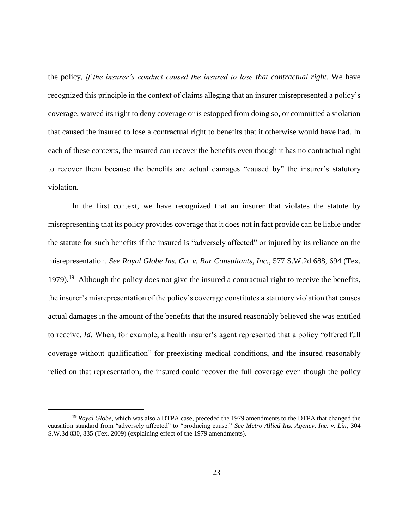the policy, *if the insurer's conduct caused the insured to lose that contractual right*. We have recognized this principle in the context of claims alleging that an insurer misrepresented a policy's coverage, waived its right to deny coverage or is estopped from doing so, or committed a violation that caused the insured to lose a contractual right to benefits that it otherwise would have had. In each of these contexts, the insured can recover the benefits even though it has no contractual right to recover them because the benefits are actual damages "caused by" the insurer's statutory violation.

In the first context, we have recognized that an insurer that violates the statute by misrepresenting that its policy provides coverage that it does not in fact provide can be liable under the statute for such benefits if the insured is "adversely affected" or injured by its reliance on the misrepresentation. *See Royal Globe Ins. Co. v. Bar Consultants, Inc.*, 577 S.W.2d 688, 694 (Tex. 1979).<sup>19</sup> Although the policy does not give the insured a contractual right to receive the benefits, the insurer's misrepresentation of the policy's coverage constitutes a statutory violation that causes actual damages in the amount of the benefits that the insured reasonably believed she was entitled to receive. *Id.* When, for example, a health insurer's agent represented that a policy "offered full coverage without qualification" for preexisting medical conditions, and the insured reasonably relied on that representation, the insured could recover the full coverage even though the policy

<sup>19</sup> *Royal Globe*, which was also a DTPA case, preceded the 1979 amendments to the DTPA that changed the causation standard from "adversely affected" to "producing cause." *See Metro Allied Ins. Agency, Inc. v. Lin*, 304 S.W.3d 830, 835 (Tex. 2009) (explaining effect of the 1979 amendments).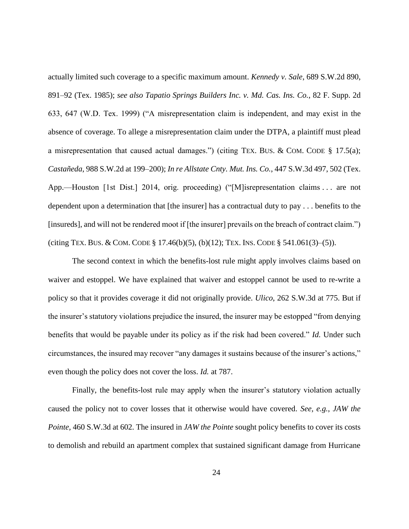actually limited such coverage to a specific maximum amount. *Kennedy v. Sale*, 689 S.W.2d 890, 891–92 (Tex. 1985); *see also Tapatio Springs Builders Inc. v. Md. Cas. Ins. Co.*, 82 F. Supp. 2d 633, 647 (W.D. Tex. 1999) ("A misrepresentation claim is independent, and may exist in the absence of coverage. To allege a misrepresentation claim under the DTPA, a plaintiff must plead a misrepresentation that caused actual damages.") (citing TEX. BUS. & COM. CODE § 17.5(a); *Castañeda*, 988 S.W.2d at 199–200); *In re Allstate Cnty. Mut. Ins. Co.*, 447 S.W.3d 497, 502 (Tex. App.—Houston [1st Dist.] 2014, orig. proceeding) ("[M]isrepresentation claims . . . are not dependent upon a determination that [the insurer] has a contractual duty to pay . . . benefits to the [insureds], and will not be rendered moot if [the insurer] prevails on the breach of contract claim.") (citing TEX. BUS. & COM. CODE § 17.46(b)(5), (b)(12); TEX. INS. CODE § 541.061(3)–(5)).

The second context in which the benefits-lost rule might apply involves claims based on waiver and estoppel. We have explained that waiver and estoppel cannot be used to re-write a policy so that it provides coverage it did not originally provide. *Ulico*, 262 S.W.3d at 775. But if the insurer's statutory violations prejudice the insured, the insurer may be estopped "from denying benefits that would be payable under its policy as if the risk had been covered." *Id.* Under such circumstances, the insured may recover "any damages it sustains because of the insurer's actions," even though the policy does not cover the loss. *Id.* at 787.

Finally, the benefits-lost rule may apply when the insurer's statutory violation actually caused the policy not to cover losses that it otherwise would have covered. *See, e.g.*, *JAW the Pointe,* 460 S.W.3d at 602. The insured in *JAW the Pointe* sought policy benefits to cover its costs to demolish and rebuild an apartment complex that sustained significant damage from Hurricane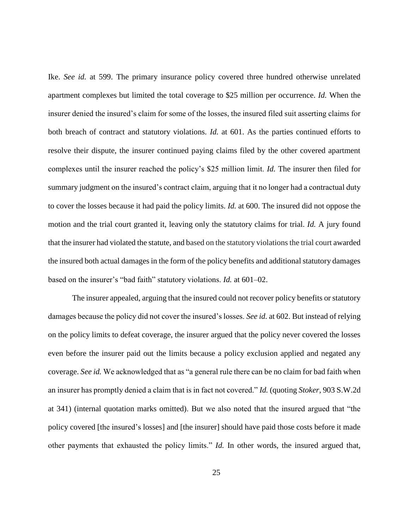Ike. *See id.* at 599. The primary insurance policy covered three hundred otherwise unrelated apartment complexes but limited the total coverage to \$25 million per occurrence. *Id.* When the insurer denied the insured's claim for some of the losses, the insured filed suit asserting claims for both breach of contract and statutory violations. *Id.* at 601. As the parties continued efforts to resolve their dispute, the insurer continued paying claims filed by the other covered apartment complexes until the insurer reached the policy's \$25 million limit. *Id.* The insurer then filed for summary judgment on the insured's contract claim, arguing that it no longer had a contractual duty to cover the losses because it had paid the policy limits. *Id.* at 600. The insured did not oppose the motion and the trial court granted it, leaving only the statutory claims for trial. *Id.* A jury found that the insurer had violated the statute, and based on the statutory violations the trial court awarded the insured both actual damages in the form of the policy benefits and additional statutory damages based on the insurer's "bad faith" statutory violations. *Id.* at 601–02.

The insurer appealed, arguing that the insured could not recover policy benefits or statutory damages because the policy did not cover the insured's losses. *See id.* at 602. But instead of relying on the policy limits to defeat coverage, the insurer argued that the policy never covered the losses even before the insurer paid out the limits because a policy exclusion applied and negated any coverage. *See id.* We acknowledged that as "a general rule there can be no claim for bad faith when an insurer has promptly denied a claim that is in fact not covered." *Id.* (quoting *Stoker,* 903 S.W.2d at 341) (internal quotation marks omitted). But we also noted that the insured argued that "the policy covered [the insured's losses] and [the insurer] should have paid those costs before it made other payments that exhausted the policy limits." *Id.* In other words, the insured argued that,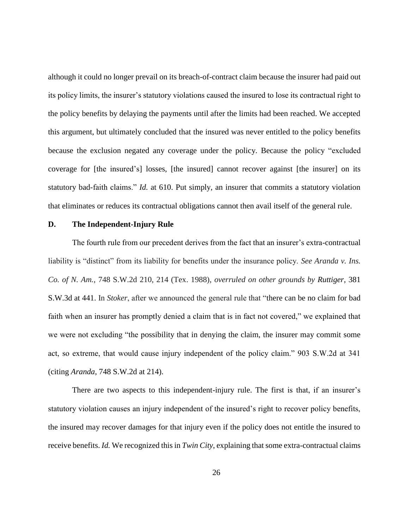although it could no longer prevail on its breach-of-contract claim because the insurer had paid out its policy limits, the insurer's statutory violations caused the insured to lose its contractual right to the policy benefits by delaying the payments until after the limits had been reached. We accepted this argument, but ultimately concluded that the insured was never entitled to the policy benefits because the exclusion negated any coverage under the policy. Because the policy "excluded coverage for [the insured's] losses, [the insured] cannot recover against [the insurer] on its statutory bad-faith claims." *Id.* at 610. Put simply, an insurer that commits a statutory violation that eliminates or reduces its contractual obligations cannot then avail itself of the general rule.

#### **D. The Independent-Injury Rule**

The fourth rule from our precedent derives from the fact that an insurer's extra-contractual liability is "distinct" from its liability for benefits under the insurance policy. *See Aranda v. Ins. Co. of N. Am.*, 748 S.W.2d 210, 214 (Tex. 1988), *overruled on other grounds by Ruttiger*, 381 S.W.3d at 441. In *Stoker*, after we announced the general rule that "there can be no claim for bad faith when an insurer has promptly denied a claim that is in fact not covered," we explained that we were not excluding "the possibility that in denying the claim, the insurer may commit some act, so extreme, that would cause injury independent of the policy claim." 903 S.W.2d at 341 (citing *Aranda,* 748 S.W.2d at 214).

There are two aspects to this independent-injury rule. The first is that, if an insurer's statutory violation causes an injury independent of the insured's right to recover policy benefits, the insured may recover damages for that injury even if the policy does not entitle the insured to receive benefits. *Id.* We recognized this in *Twin City*, explaining that some extra-contractual claims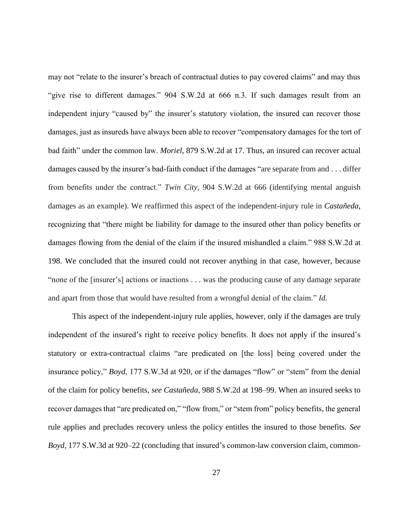may not "relate to the insurer's breach of contractual duties to pay covered claims" and may thus "give rise to different damages." 904 S.W.2d at 666 n.3. If such damages result from an independent injury "caused by" the insurer's statutory violation, the insured can recover those damages, just as insureds have always been able to recover "compensatory damages for the tort of bad faith" under the common law. *Moriel*, 879 S.W.2d at 17. Thus, an insured can recover actual damages caused by the insurer's bad-faith conduct if the damages "are separate from and . . . differ from benefits under the contract." *Twin City*, 904 S.W.2d at 666 (identifying mental anguish damages as an example). We reaffirmed this aspect of the independent-injury rule in *Castañeda*, recognizing that "there might be liability for damage to the insured other than policy benefits or damages flowing from the denial of the claim if the insured mishandled a claim." 988 S.W.2d at 198. We concluded that the insured could not recover anything in that case, however, because "none of the [insurer's] actions or inactions . . . was the producing cause of any damage separate and apart from those that would have resulted from a wrongful denial of the claim." *Id.*

This aspect of the independent-injury rule applies, however, only if the damages are truly independent of the insured's right to receive policy benefits. It does not apply if the insured's statutory or extra-contractual claims "are predicated on [the loss] being covered under the insurance policy," *Boyd*, 177 S.W.3d at 920, or if the damages "flow" or "stem" from the denial of the claim for policy benefits, *see Castañeda*, 988 S.W.2d at 198–99. When an insured seeks to recover damages that "are predicated on," "flow from," or "stem from" policy benefits, the general rule applies and precludes recovery unless the policy entitles the insured to those benefits. *See Boyd*, 177 S.W.3d at 920–22 (concluding that insured's common-law conversion claim, common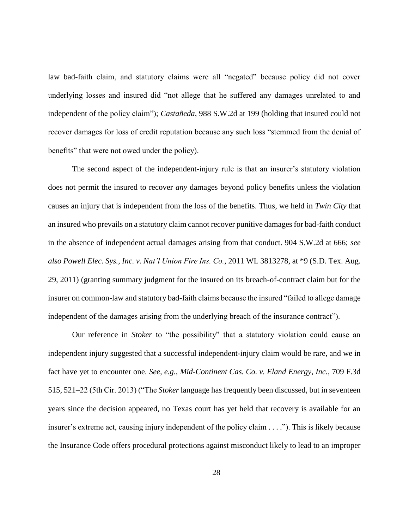law bad-faith claim, and statutory claims were all "negated" because policy did not cover underlying losses and insured did "not allege that he suffered any damages unrelated to and independent of the policy claim"); *Castañeda*, 988 S.W.2d at 199 (holding that insured could not recover damages for loss of credit reputation because any such loss "stemmed from the denial of benefits" that were not owed under the policy).

The second aspect of the independent-injury rule is that an insurer's statutory violation does not permit the insured to recover *any* damages beyond policy benefits unless the violation causes an injury that is independent from the loss of the benefits. Thus, we held in *Twin City* that an insured who prevails on a statutory claim cannot recover punitive damages for bad-faith conduct in the absence of independent actual damages arising from that conduct. 904 S.W.2d at 666; *see also Powell Elec. Sys., Inc. v. Nat'l Union Fire Ins. Co.*, 2011 WL 3813278, at \*9 (S.D. Tex. Aug. 29, 2011) (granting summary judgment for the insured on its breach-of-contract claim but for the insurer on common-law and statutory bad-faith claims because the insured "failed to allege damage independent of the damages arising from the underlying breach of the insurance contract").

Our reference in *Stoker* to "the possibility" that a statutory violation could cause an independent injury suggested that a successful independent-injury claim would be rare, and we in fact have yet to encounter one. *See, e.g.*, *Mid-Continent Cas. Co. v. Eland Energy, Inc.*, 709 F.3d 515, 521–22 (5th Cir. 2013) ("The *Stoker* language has frequently been discussed, but in seventeen years since the decision appeared, no Texas court has yet held that recovery is available for an insurer's extreme act, causing injury independent of the policy claim . . . ."). This is likely because the Insurance Code offers procedural protections against misconduct likely to lead to an improper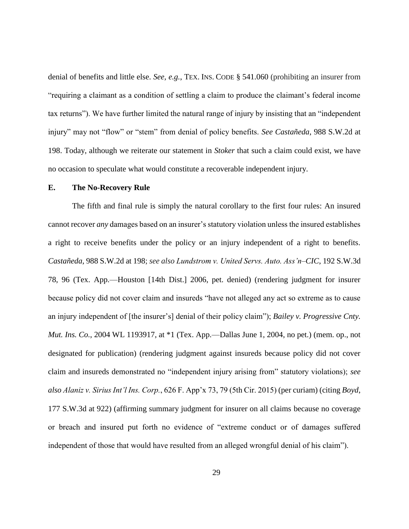denial of benefits and little else. *See, e.g.*, TEX. INS. CODE § 541.060 (prohibiting an insurer from "requiring a claimant as a condition of settling a claim to produce the claimant's federal income tax returns"). We have further limited the natural range of injury by insisting that an "independent injury" may not "flow" or "stem" from denial of policy benefits. *See Castañeda*, 988 S.W.2d at 198. Today, although we reiterate our statement in *Stoker* that such a claim could exist, we have no occasion to speculate what would constitute a recoverable independent injury.

## **E. The No-Recovery Rule**

The fifth and final rule is simply the natural corollary to the first four rules: An insured cannot recover *any* damages based on an insurer's statutory violation unless the insured establishes a right to receive benefits under the policy or an injury independent of a right to benefits. *Castañeda*, 988 S.W.2d at 198; *see also Lundstrom v. United Servs. Auto. Ass'n–CIC*, 192 S.W.3d 78, 96 (Tex. App.—Houston [14th Dist.] 2006, pet. denied) (rendering judgment for insurer because policy did not cover claim and insureds "have not alleged any act so extreme as to cause an injury independent of [the insurer's] denial of their policy claim"); *Bailey v. Progressive Cnty. Mut. Ins. Co.*, 2004 WL 1193917, at \*1 (Tex. App.—Dallas June 1, 2004, no pet.) (mem. op., not designated for publication) (rendering judgment against insureds because policy did not cover claim and insureds demonstrated no "independent injury arising from" statutory violations); *see also Alaniz v. Sirius Int'l Ins. Corp.*, 626 F. App'x 73, 79 (5th Cir. 2015) (per curiam) (citing *Boyd*, 177 S.W.3d at 922) (affirming summary judgment for insurer on all claims because no coverage or breach and insured put forth no evidence of "extreme conduct or of damages suffered independent of those that would have resulted from an alleged wrongful denial of his claim").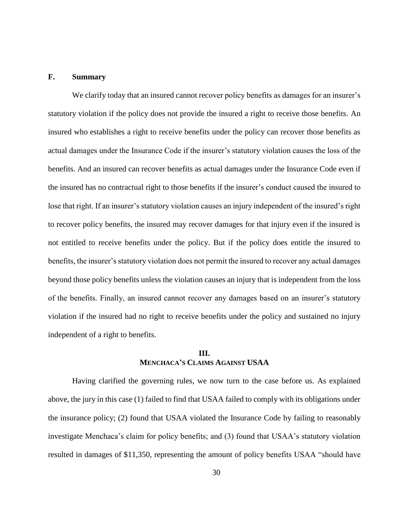## **F. Summary**

We clarify today that an insured cannot recover policy benefits as damages for an insurer's statutory violation if the policy does not provide the insured a right to receive those benefits. An insured who establishes a right to receive benefits under the policy can recover those benefits as actual damages under the Insurance Code if the insurer's statutory violation causes the loss of the benefits. And an insured can recover benefits as actual damages under the Insurance Code even if the insured has no contractual right to those benefits if the insurer's conduct caused the insured to lose that right. If an insurer's statutory violation causes an injury independent of the insured's right to recover policy benefits, the insured may recover damages for that injury even if the insured is not entitled to receive benefits under the policy. But if the policy does entitle the insured to benefits, the insurer's statutory violation does not permit the insured to recover any actual damages beyond those policy benefits unless the violation causes an injury that is independent from the loss of the benefits. Finally, an insured cannot recover any damages based on an insurer's statutory violation if the insured had no right to receive benefits under the policy and sustained no injury independent of a right to benefits.

# **III. MENCHACA'S CLAIMS AGAINST USAA**

Having clarified the governing rules, we now turn to the case before us. As explained above, the jury in this case (1) failed to find that USAA failed to comply with its obligations under the insurance policy; (2) found that USAA violated the Insurance Code by failing to reasonably investigate Menchaca's claim for policy benefits; and (3) found that USAA's statutory violation resulted in damages of \$11,350, representing the amount of policy benefits USAA "should have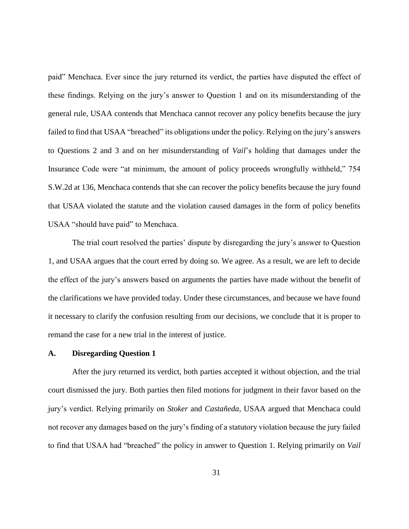paid" Menchaca. Ever since the jury returned its verdict, the parties have disputed the effect of these findings. Relying on the jury's answer to Question 1 and on its misunderstanding of the general rule, USAA contends that Menchaca cannot recover any policy benefits because the jury failed to find that USAA "breached" its obligations under the policy. Relying on the jury's answers to Questions 2 and 3 and on her misunderstanding of *Vail*'s holding that damages under the Insurance Code were "at minimum, the amount of policy proceeds wrongfully withheld," 754 S.W.2d at 136, Menchaca contends that she can recover the policy benefits because the jury found that USAA violated the statute and the violation caused damages in the form of policy benefits USAA "should have paid" to Menchaca.

The trial court resolved the parties' dispute by disregarding the jury's answer to Question 1, and USAA argues that the court erred by doing so. We agree. As a result, we are left to decide the effect of the jury's answers based on arguments the parties have made without the benefit of the clarifications we have provided today. Under these circumstances, and because we have found it necessary to clarify the confusion resulting from our decisions, we conclude that it is proper to remand the case for a new trial in the interest of justice.

## **A. Disregarding Question 1**

After the jury returned its verdict, both parties accepted it without objection, and the trial court dismissed the jury. Both parties then filed motions for judgment in their favor based on the jury's verdict. Relying primarily on *Stoker* and *Castañeda*, USAA argued that Menchaca could not recover any damages based on the jury's finding of a statutory violation because the jury failed to find that USAA had "breached" the policy in answer to Question 1. Relying primarily on *Vail*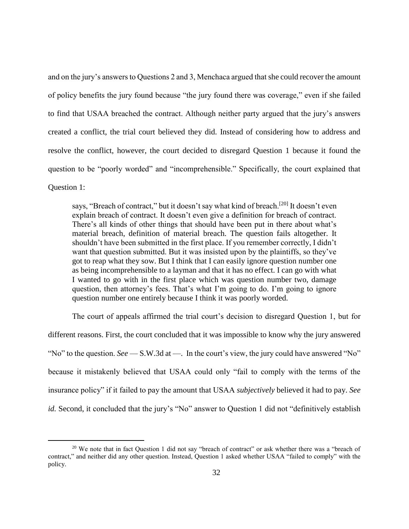and on the jury's answers to Questions 2 and 3, Menchaca argued that she could recover the amount of policy benefits the jury found because "the jury found there was coverage," even if she failed to find that USAA breached the contract. Although neither party argued that the jury's answers created a conflict, the trial court believed they did. Instead of considering how to address and resolve the conflict, however, the court decided to disregard Question 1 because it found the question to be "poorly worded" and "incomprehensible." Specifically, the court explained that Question 1:

says, "Breach of contract," but it doesn't say what kind of breach.<sup>[20]</sup> It doesn't even explain breach of contract. It doesn't even give a definition for breach of contract. There's all kinds of other things that should have been put in there about what's material breach, definition of material breach. The question fails altogether. It shouldn't have been submitted in the first place. If you remember correctly, I didn't want that question submitted. But it was insisted upon by the plaintiffs, so they've got to reap what they sow. But I think that I can easily ignore question number one as being incomprehensible to a layman and that it has no effect. I can go with what I wanted to go with in the first place which was question number two, damage question, then attorney's fees. That's what I'm going to do. I'm going to ignore question number one entirely because I think it was poorly worded.

The court of appeals affirmed the trial court's decision to disregard Question 1, but for different reasons. First, the court concluded that it was impossible to know why the jury answered "No" to the question. *See* — S.W.3d at —. In the court's view, the jury could have answered "No" because it mistakenly believed that USAA could only "fail to comply with the terms of the insurance policy" if it failed to pay the amount that USAA *subjectively* believed it had to pay. *See id.* Second, it concluded that the jury's "No" answer to Question 1 did not "definitively establish

 $\ddot{ }$ 

<sup>&</sup>lt;sup>20</sup> We note that in fact Question 1 did not say "breach of contract" or ask whether there was a "breach of contract," and neither did any other question. Instead, Question 1 asked whether USAA "failed to comply" with the policy.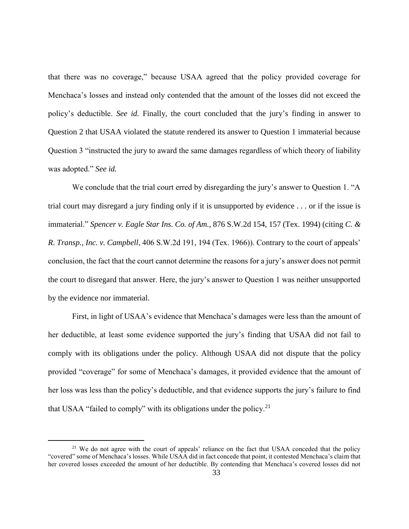that there was no coverage," because USAA agreed that the policy provided coverage for Menchaca's losses and instead only contended that the amount of the losses did not exceed the policy's deductible. *See id.* Finally, the court concluded that the jury's finding in answer to Question 2 that USAA violated the statute rendered its answer to Question 1 immaterial because Question 3 "instructed the jury to award the same damages regardless of which theory of liability was adopted." *See id.*

We conclude that the trial court erred by disregarding the jury's answer to Question 1. "A trial court may disregard a jury finding only if it is unsupported by evidence . . . or if the issue is immaterial." *Spencer v. Eagle Star Ins. Co. of Am.*, 876 S.W.2d 154, 157 (Tex. 1994) (citing *C. & R. Transp., Inc. v. Campbell*, 406 S.W.2d 191, 194 (Tex. 1966)). Contrary to the court of appeals' conclusion, the fact that the court cannot determine the reasons for a jury's answer does not permit the court to disregard that answer. Here, the jury's answer to Question 1 was neither unsupported by the evidence nor immaterial.

First, in light of USAA's evidence that Menchaca's damages were less than the amount of her deductible, at least some evidence supported the jury's finding that USAA did not fail to comply with its obligations under the policy. Although USAA did not dispute that the policy provided "coverage" for some of Menchaca's damages, it provided evidence that the amount of her loss was less than the policy's deductible, and that evidence supports the jury's failure to find that USAA "failed to comply" with its obligations under the policy.<sup>21</sup>

 $\ddot{ }$ 

<sup>&</sup>lt;sup>21</sup> We do not agree with the court of appeals' reliance on the fact that USAA conceded that the policy "covered" some of Menchaca's losses. While USAA did in fact concede that point, it contested Menchaca's claim that her covered losses exceeded the amount of her deductible. By contending that Menchaca's covered losses did not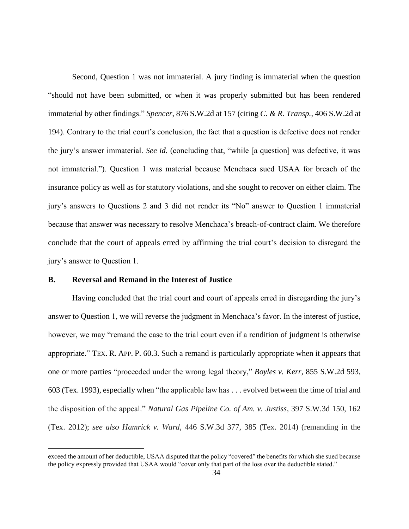Second, Question 1 was not immaterial. A jury finding is immaterial when the question "should not have been submitted, or when it was properly submitted but has been rendered immaterial by other findings." *Spencer*, 876 S.W.2d at 157 (citing *C. & R. Transp.*, 406 S.W.2d at 194). Contrary to the trial court's conclusion, the fact that a question is defective does not render the jury's answer immaterial. *See id.* (concluding that, "while [a question] was defective, it was not immaterial."). Question 1 was material because Menchaca sued USAA for breach of the insurance policy as well as for statutory violations, and she sought to recover on either claim. The jury's answers to Questions 2 and 3 did not render its "No" answer to Question 1 immaterial because that answer was necessary to resolve Menchaca's breach-of-contract claim. We therefore conclude that the court of appeals erred by affirming the trial court's decision to disregard the jury's answer to Question 1.

# **B. Reversal and Remand in the Interest of Justice**

 $\ddot{ }$ 

Having concluded that the trial court and court of appeals erred in disregarding the jury's answer to Question 1, we will reverse the judgment in Menchaca's favor. In the interest of justice, however, we may "remand the case to the trial court even if a rendition of judgment is otherwise appropriate." TEX. R. APP. P. 60.3. Such a remand is particularly appropriate when it appears that one or more parties "proceeded under the wrong legal theory," *Boyles v. Kerr*, 855 S.W.2d 593, 603 (Tex. 1993), especially when "the applicable law has . . . evolved between the time of trial and the disposition of the appeal." *Natural Gas Pipeline Co. of Am. v. Justiss*, 397 S.W.3d 150, 162 (Tex. 2012); *see also Hamrick v. Ward*, 446 S.W.3d 377, 385 (Tex. 2014) (remanding in the

exceed the amount of her deductible, USAA disputed that the policy "covered" the benefits for which she sued because the policy expressly provided that USAA would "cover only that part of the loss over the deductible stated."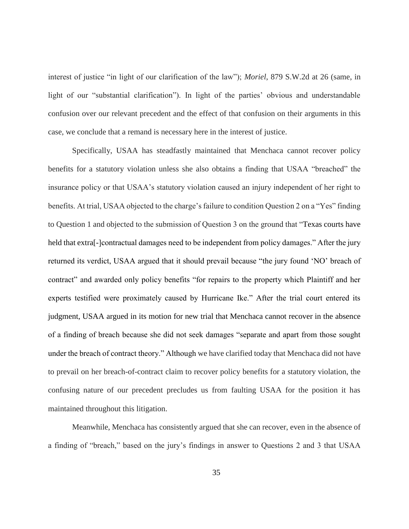interest of justice "in light of our clarification of the law"); *Moriel*, 879 S.W.2d at 26 (same, in light of our "substantial clarification"). In light of the parties' obvious and understandable confusion over our relevant precedent and the effect of that confusion on their arguments in this case, we conclude that a remand is necessary here in the interest of justice.

Specifically, USAA has steadfastly maintained that Menchaca cannot recover policy benefits for a statutory violation unless she also obtains a finding that USAA "breached" the insurance policy or that USAA's statutory violation caused an injury independent of her right to benefits. At trial, USAA objected to the charge's failure to condition Question 2 on a "Yes" finding to Question 1 and objected to the submission of Question 3 on the ground that "Texas courts have held that extra<sup>[-</sup>]contractual damages need to be independent from policy damages." After the jury returned its verdict, USAA argued that it should prevail because "the jury found 'NO' breach of contract" and awarded only policy benefits "for repairs to the property which Plaintiff and her experts testified were proximately caused by Hurricane Ike." After the trial court entered its judgment, USAA argued in its motion for new trial that Menchaca cannot recover in the absence of a finding of breach because she did not seek damages "separate and apart from those sought under the breach of contract theory." Although we have clarified today that Menchaca did not have to prevail on her breach-of-contract claim to recover policy benefits for a statutory violation, the confusing nature of our precedent precludes us from faulting USAA for the position it has maintained throughout this litigation.

Meanwhile, Menchaca has consistently argued that she can recover, even in the absence of a finding of "breach," based on the jury's findings in answer to Questions 2 and 3 that USAA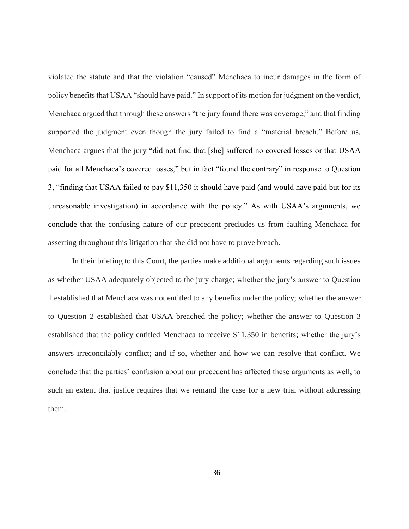violated the statute and that the violation "caused" Menchaca to incur damages in the form of policy benefits that USAA "should have paid." In support of its motion for judgment on the verdict, Menchaca argued that through these answers "the jury found there was coverage," and that finding supported the judgment even though the jury failed to find a "material breach." Before us, Menchaca argues that the jury "did not find that [she] suffered no covered losses or that USAA paid for all Menchaca's covered losses," but in fact "found the contrary" in response to Question 3, "finding that USAA failed to pay \$11,350 it should have paid (and would have paid but for its unreasonable investigation) in accordance with the policy." As with USAA's arguments, we conclude that the confusing nature of our precedent precludes us from faulting Menchaca for asserting throughout this litigation that she did not have to prove breach.

In their briefing to this Court, the parties make additional arguments regarding such issues as whether USAA adequately objected to the jury charge; whether the jury's answer to Question 1 established that Menchaca was not entitled to any benefits under the policy; whether the answer to Question 2 established that USAA breached the policy; whether the answer to Question 3 established that the policy entitled Menchaca to receive \$11,350 in benefits; whether the jury's answers irreconcilably conflict; and if so, whether and how we can resolve that conflict. We conclude that the parties' confusion about our precedent has affected these arguments as well, to such an extent that justice requires that we remand the case for a new trial without addressing them.